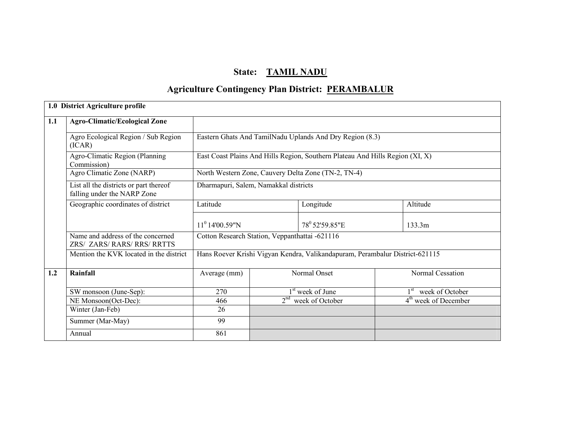# State: TAMIL NADU

# **Agriculture Contingency Plan District: PERAMBALUR**

|     | 1.0 District Agriculture profile                                      |                                                |                 |                                                                               |  |                                 |
|-----|-----------------------------------------------------------------------|------------------------------------------------|-----------------|-------------------------------------------------------------------------------|--|---------------------------------|
| 1.1 | <b>Agro-Climatic/Ecological Zone</b>                                  |                                                |                 |                                                                               |  |                                 |
|     | Agro Ecological Region / Sub Region<br>(ICAR)                         |                                                |                 | Eastern Ghats And TamilNadu Uplands And Dry Region (8.3)                      |  |                                 |
|     | Agro-Climatic Region (Planning<br>Commission)                         |                                                |                 | East Coast Plains And Hills Region, Southern Plateau And Hills Region (XI, X) |  |                                 |
|     | Agro Climatic Zone (NARP)                                             |                                                |                 | North Western Zone, Cauvery Delta Zone (TN-2, TN-4)                           |  |                                 |
|     | List all the districts or part thereof<br>falling under the NARP Zone | Dharmapuri, Salem, Namakkal districts          |                 |                                                                               |  |                                 |
|     | Geographic coordinates of district                                    | Latitude                                       |                 | Longitude                                                                     |  | Altitude                        |
|     |                                                                       | $11^0$ 14'00.59"N                              |                 | 78 <sup>0</sup> 52'59.85"E                                                    |  | 133.3m                          |
|     | Name and address of the concerned<br>ZRS/ ZARS/ RARS/ RRS/ RRTTS      | Cotton Research Station, Veppanthattai -621116 |                 |                                                                               |  |                                 |
|     | Mention the KVK located in the district                               |                                                |                 | Hans Roever Krishi Vigyan Kendra, Valikandapuram, Perambalur District-621115  |  |                                 |
| 1.2 | Rainfall                                                              | Average (mm)                                   |                 | Normal Onset                                                                  |  | Normal Cessation                |
|     | SW monsoon (June-Sep):                                                | 270                                            |                 | 1 <sup>st</sup> week of June                                                  |  | 1 <sup>st</sup> week of October |
|     | NE Monsoon(Oct-Dec):                                                  | 466                                            | 2 <sup>nd</sup> | week of October                                                               |  | $4th$ week of December          |
|     | Winter (Jan-Feb)                                                      | 26                                             |                 |                                                                               |  |                                 |
|     | Summer (Mar-May)                                                      | 99                                             |                 |                                                                               |  |                                 |
|     | Annual                                                                | 861                                            |                 |                                                                               |  |                                 |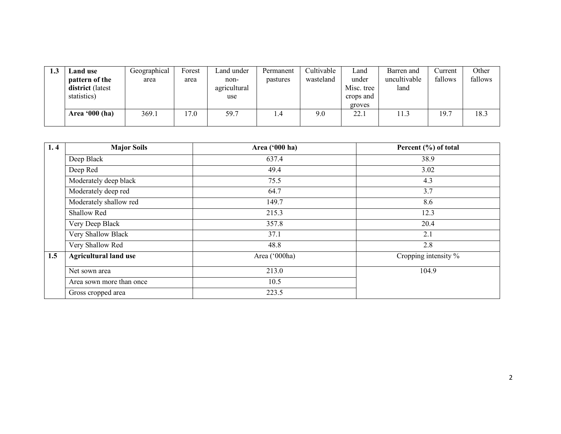| 1.3 | ∟and use ∣              | Geographical | Forest | Land under   | Permanent | Cultivable | ∟and       | Barren and   | Current | Other   |
|-----|-------------------------|--------------|--------|--------------|-----------|------------|------------|--------------|---------|---------|
|     | pattern of the          | area         | area   | non-         | pastures  | wasteland  | under      | uncultivable | fallows | fallows |
|     | <b>district</b> (latest |              |        | agricultural |           |            | Misc. tree | land         |         |         |
|     | statistics)             |              |        | use          |           |            | crops and  |              |         |         |
|     |                         |              |        |              |           |            | groves     |              |         |         |
|     | Area '000 (ha)          | 369.1        | 17.0   | 59.7         | 1.4       | 9.0        | 22.1       | 11.3         | 19.7    | 18.3    |

| 1.4 | <b>Major Soils</b>           | Area ('000 ha) | Percent (%) of total |
|-----|------------------------------|----------------|----------------------|
|     | Deep Black                   | 637.4          | 38.9                 |
|     | Deep Red                     | 49.4           | 3.02                 |
|     | Moderately deep black        | 75.5           | 4.3                  |
|     | Moderately deep red          | 64.7           | 3.7                  |
|     | Moderately shallow red       | 149.7          | 8.6                  |
|     | Shallow Red                  | 215.3          | 12.3                 |
|     | Very Deep Black              | 357.8          | 20.4                 |
|     | Very Shallow Black           | 37.1           | 2.1                  |
|     | Very Shallow Red             | 48.8           | 2.8                  |
| 1.5 | <b>Agricultural land use</b> | Area ('000ha)  | Cropping intensity % |
|     | Net sown area                | 213.0          | 104.9                |
|     | Area sown more than once     | 10.5           |                      |
|     | Gross cropped area           | 223.5          |                      |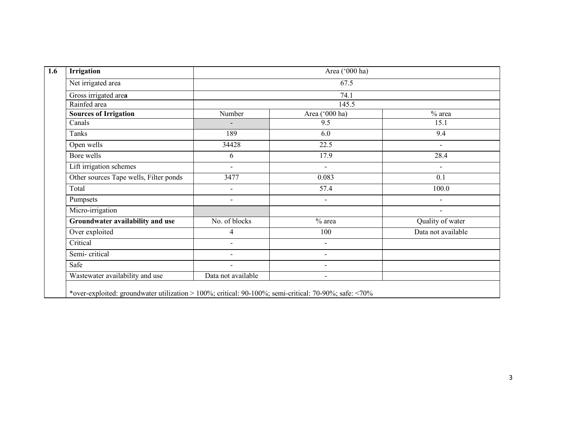| Irrigation                             | Area ('000 ha)           |                          |                          |  |  |  |
|----------------------------------------|--------------------------|--------------------------|--------------------------|--|--|--|
| Net irrigated area                     |                          | 67.5                     |                          |  |  |  |
| Gross irrigated area                   |                          | 74.1                     |                          |  |  |  |
| Rainfed area                           |                          | 145.5                    |                          |  |  |  |
| <b>Sources of Irrigation</b>           | Number                   | Area ('000 ha)           | $%$ area                 |  |  |  |
| Canals                                 |                          | 9.5                      | 15.1                     |  |  |  |
| Tanks                                  | 189                      | 6.0                      | 9.4                      |  |  |  |
| Open wells                             | 34428                    | 22.5                     | $\overline{\phantom{a}}$ |  |  |  |
| Bore wells                             | 6                        | 17.9                     | 28.4                     |  |  |  |
| Lift irrigation schemes                | $\overline{\phantom{a}}$ | $\blacksquare$           | $\blacksquare$           |  |  |  |
| Other sources Tape wells, Filter ponds | 3477                     | 0.083                    | 0.1                      |  |  |  |
| Total                                  | $\overline{\phantom{a}}$ | 57.4                     | 100.0                    |  |  |  |
| Pumpsets                               | $\overline{\phantom{a}}$ | $\overline{\phantom{a}}$ | $\overline{\phantom{a}}$ |  |  |  |
| Micro-irrigation                       |                          |                          | $\overline{\phantom{a}}$ |  |  |  |
| Groundwater availability and use       | No. of blocks            | $%$ area                 | Quality of water         |  |  |  |
| Over exploited                         | 4                        | 100                      | Data not available       |  |  |  |
| Critical                               | $\blacksquare$           | $\overline{\phantom{a}}$ |                          |  |  |  |
| Semi-critical                          | $\overline{\phantom{0}}$ | $\overline{\phantom{0}}$ |                          |  |  |  |
| Safe                                   | $\blacksquare$           | $\overline{\phantom{a}}$ |                          |  |  |  |
| Wastewater availability and use        | Data not available       | $\blacksquare$           |                          |  |  |  |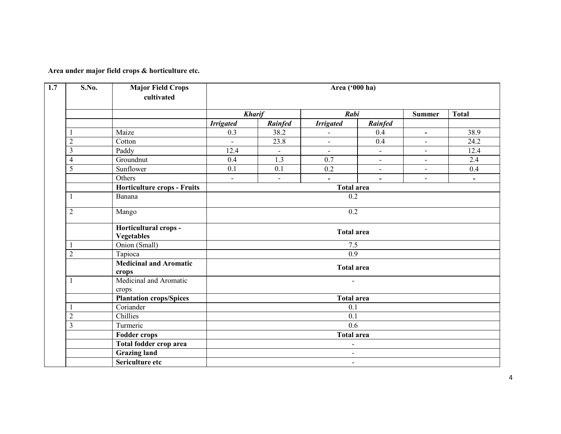#### Area under major field crops & horticulture etc.

| S.No.          | <b>Major Field Crops</b><br>cultivated     |                          |                          | Area ('000 ha)           |                          |                          |                          |  |  |
|----------------|--------------------------------------------|--------------------------|--------------------------|--------------------------|--------------------------|--------------------------|--------------------------|--|--|
|                |                                            |                          | <b>Kharif</b>            | Rabi                     |                          | <b>Summer</b>            | <b>Total</b>             |  |  |
|                |                                            | <b>Irrigated</b>         | Rainfed                  | <b>Irrigated</b>         | Rainfed                  |                          |                          |  |  |
|                | Maize                                      | 0.3                      | 38.2                     |                          | 0.4                      | $\overline{\phantom{a}}$ | 38.9                     |  |  |
| $\overline{c}$ | Cotton                                     | $\overline{\phantom{a}}$ | 23.8                     | $\overline{\phantom{a}}$ | 0.4                      | $\overline{\phantom{a}}$ | 24.2                     |  |  |
| 3              | Paddy                                      | 12.4                     | $\overline{\phantom{a}}$ | $\blacksquare$           | $\overline{\phantom{a}}$ | $\overline{\phantom{a}}$ | 12.4                     |  |  |
| $\overline{4}$ | Groundnut                                  | 0.4                      | 1.3                      | 0.7                      | $\overline{\phantom{a}}$ | $\overline{\phantom{a}}$ | 2.4                      |  |  |
| $\overline{5}$ | Sunflower                                  | 0.1                      | 0.1                      | 0.2                      | $\overline{\phantom{a}}$ | $\overline{\phantom{a}}$ | 0.4                      |  |  |
|                | Others                                     | $\overline{\phantom{a}}$ | $\overline{\phantom{a}}$ | $\overline{\phantom{a}}$ | $\overline{\phantom{0}}$ | $\overline{\phantom{a}}$ | $\overline{\phantom{a}}$ |  |  |
|                | <b>Horticulture crops - Fruits</b>         | <b>Total area</b>        |                          |                          |                          |                          |                          |  |  |
|                | Banana                                     | 0.2                      |                          |                          |                          |                          |                          |  |  |
| $\overline{c}$ | Mango                                      | 0.2                      |                          |                          |                          |                          |                          |  |  |
|                | Horticultural crops -<br><b>Vegetables</b> | <b>Total area</b>        |                          |                          |                          |                          |                          |  |  |
|                | Onion (Small)                              | 7.5                      |                          |                          |                          |                          |                          |  |  |
| $\overline{2}$ | Tapioca                                    |                          |                          | 0.9                      |                          |                          |                          |  |  |
|                | <b>Medicinal and Aromatic</b><br>crops     |                          |                          |                          | <b>Total area</b>        |                          |                          |  |  |
|                | Medicinal and Aromatic<br>crops            |                          |                          | $\overline{\phantom{a}}$ |                          |                          |                          |  |  |
|                | <b>Plantation crops/Spices</b>             |                          |                          | <b>Total area</b>        |                          |                          |                          |  |  |
|                | Coriander                                  |                          |                          | 0.1                      |                          |                          |                          |  |  |
| $\overline{2}$ | Chillies                                   |                          |                          |                          | $\overline{0.1}$         |                          |                          |  |  |
| $\overline{3}$ | Turmeric                                   |                          |                          | $\overline{0.6}$         |                          |                          |                          |  |  |
|                | <b>Fodder crops</b>                        | <b>Total area</b>        |                          |                          |                          |                          |                          |  |  |
|                | Total fodder crop area                     |                          |                          | $\blacksquare$           |                          |                          |                          |  |  |
|                | <b>Grazing land</b>                        |                          |                          | $\blacksquare$           |                          |                          |                          |  |  |
|                | Sericulture etc                            |                          |                          | $\overline{\phantom{a}}$ |                          |                          |                          |  |  |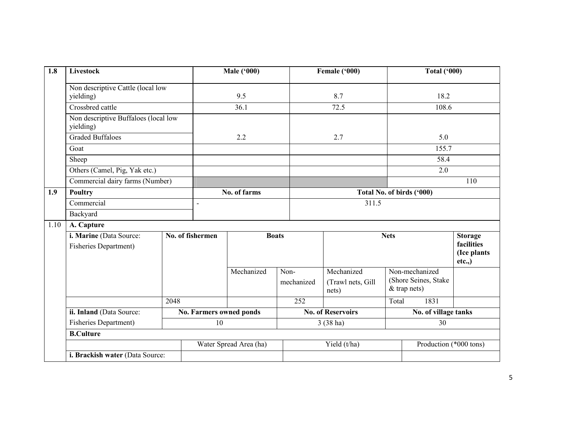| $\overline{1.8}$ | Livestock                                               |  |                                | <b>Male ('000)</b>     |                    | Female ('000)                            |       | Total $(900)$                                            |                                                      |
|------------------|---------------------------------------------------------|--|--------------------------------|------------------------|--------------------|------------------------------------------|-------|----------------------------------------------------------|------------------------------------------------------|
|                  | Non descriptive Cattle (local low<br>yielding)          |  |                                | 9.5                    |                    | 8.7                                      |       | 18.2                                                     |                                                      |
|                  | Crossbred cattle                                        |  |                                | 36.1                   |                    | 72.5                                     |       | 108.6                                                    |                                                      |
|                  | Non descriptive Buffaloes (local low<br>yielding)       |  |                                |                        |                    |                                          |       |                                                          |                                                      |
|                  | <b>Graded Buffaloes</b>                                 |  |                                | 2.2                    |                    | 2.7                                      |       | 5.0                                                      |                                                      |
|                  | Goat                                                    |  |                                |                        |                    |                                          |       | 155.7                                                    |                                                      |
|                  | Sheep                                                   |  |                                |                        |                    |                                          |       | 58.4                                                     |                                                      |
|                  | Others (Camel, Pig, Yak etc.)                           |  |                                |                        |                    |                                          |       | 2.0                                                      |                                                      |
|                  | Commercial dairy farms (Number)                         |  |                                |                        |                    |                                          |       |                                                          | 110                                                  |
| 1.9              | <b>Poultry</b>                                          |  |                                | No. of farms           |                    | Total No. of birds ('000)                |       |                                                          |                                                      |
|                  | Commercial                                              |  | $\overline{a}$                 |                        |                    | 311.5                                    |       |                                                          |                                                      |
|                  | Backyard                                                |  |                                |                        |                    |                                          |       |                                                          |                                                      |
| 1.10             | A. Capture                                              |  |                                |                        |                    |                                          |       |                                                          |                                                      |
|                  | i. Marine (Data Source:<br><b>Fisheries Department)</b> |  | No. of fishermen               | <b>Boats</b>           |                    | <b>Nets</b>                              |       |                                                          | <b>Storage</b><br>facilities<br>(Ice plants<br>etc., |
|                  |                                                         |  |                                | Mechanized             | Non-<br>mechanized | Mechanized<br>(Trawl nets, Gill<br>nets) |       | Non-mechanized<br>(Shore Seines, Stake<br>$&$ trap nets) |                                                      |
|                  | 2048<br>ii. Inland (Data Source:                        |  |                                |                        | 252                |                                          | Total | 1831                                                     |                                                      |
|                  |                                                         |  | <b>No. Farmers owned ponds</b> |                        |                    | <b>No. of Reservoirs</b>                 |       | No. of village tanks                                     |                                                      |
|                  | <b>Fisheries Department)</b>                            |  | 10                             |                        |                    | $3(38)$ ha)                              |       | 30                                                       |                                                      |
|                  | <b>B.Culture</b>                                        |  |                                |                        |                    |                                          |       |                                                          |                                                      |
|                  |                                                         |  |                                | Water Spread Area (ha) |                    | Yield (t/ha)                             |       | Production (*000 tons)                                   |                                                      |
|                  | i. Brackish water (Data Source:                         |  |                                |                        |                    |                                          |       |                                                          |                                                      |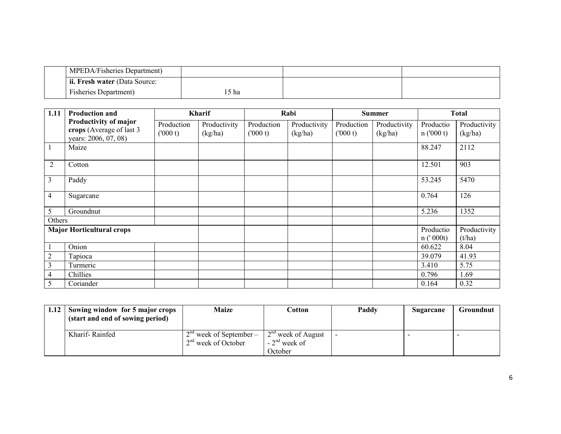| <b>MPEDA/Fisheries Department</b> ) |      |  |
|-------------------------------------|------|--|
| l ii. Fresh water (Data Source:     |      |  |
| <b>Fisheries Department</b> )       | 5 ha |  |

| 1.11           | <b>Production and</b>                                                     |                       | Kharif                  |                       | Rabi                    |                       | <b>Summer</b>           |                       | <b>Total</b>            |
|----------------|---------------------------------------------------------------------------|-----------------------|-------------------------|-----------------------|-------------------------|-----------------------|-------------------------|-----------------------|-------------------------|
|                | Productivity of major<br>crops (Average of last 3<br>years: 2006, 07, 08) | Production<br>(000 t) | Productivity<br>(kg/ha) | Production<br>(000 t) | Productivity<br>(kg/ha) | Production<br>(000 t) | Productivity<br>(kg/ha) | Productio<br>n(000 t) | Productivity<br>(kg/ha) |
|                | Maize                                                                     |                       |                         |                       |                         |                       |                         | 88.247                | 2112                    |
| $\overline{2}$ | Cotton                                                                    |                       |                         |                       |                         |                       |                         | 12.501                | 903                     |
| 3              | Paddy                                                                     |                       |                         |                       |                         |                       |                         | 53.245                | 5470                    |
| 4              | Sugarcane                                                                 |                       |                         |                       |                         |                       |                         | 0.764                 | 126                     |
| 5              | Groundnut                                                                 |                       |                         |                       |                         |                       |                         | 5.236                 | 1352                    |
| Others         |                                                                           |                       |                         |                       |                         |                       |                         |                       |                         |
|                | <b>Major Horticultural crops</b>                                          |                       |                         |                       |                         |                       |                         | Productio<br>n('000t) | Productivity<br>(t/ha)  |
|                | Onion                                                                     |                       |                         |                       |                         |                       |                         | 60.622                | 8.04                    |
| 2              | Tapioca                                                                   |                       |                         |                       |                         |                       |                         | 39.079                | 41.93                   |
| 3              | Turmeric                                                                  |                       |                         |                       |                         |                       |                         | 3.410                 | 5.75                    |
| 4              | Chillies                                                                  |                       |                         |                       |                         |                       |                         | 0.796                 | 1.69                    |
| 5              | Coriander                                                                 |                       |                         |                       |                         |                       |                         | 0.164                 | 0.32                    |

| 1.12 | Sowing window for 5 major crops<br>(start and end of sowing period) | <b>Maize</b>                                       | Cotton                                            | Paddy | Sugarcane | <b>Groundnut</b> |
|------|---------------------------------------------------------------------|----------------------------------------------------|---------------------------------------------------|-------|-----------|------------------|
|      | Kharif-Rainfed                                                      | $2nd$ week of September –<br>$2nd$ week of October | $2nd$ week of August<br>$-2nd$ week of<br>October |       |           |                  |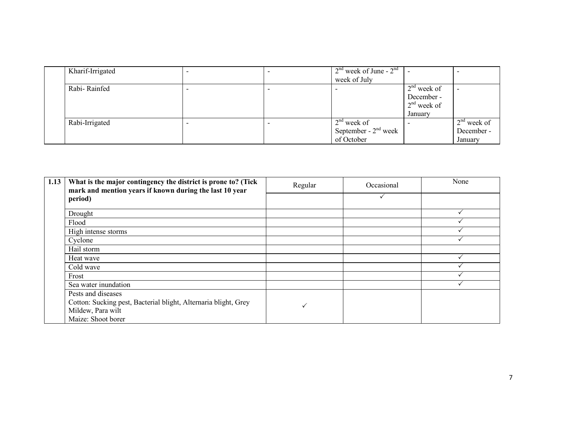| Kharif-Irrigated |  | $2nd$ week of June - $2nd$ |               |               |
|------------------|--|----------------------------|---------------|---------------|
|                  |  | week of July               |               |               |
| Rabi-Rainfed     |  |                            | $2nd$ week of |               |
|                  |  |                            | December -    |               |
|                  |  |                            | $2nd$ week of |               |
|                  |  |                            | January       |               |
| Rabi-Irrigated   |  | $2nd$ week of              |               | $2nd$ week of |
|                  |  | September - $2nd$ week     |               | December -    |
|                  |  | of October                 |               | January       |

| 1.13 | What is the major contingency the district is prone to? (Tick<br>mark and mention years if known during the last 10 year | Regular | Occasional | None |
|------|--------------------------------------------------------------------------------------------------------------------------|---------|------------|------|
|      | period)                                                                                                                  |         |            |      |
|      | Drought                                                                                                                  |         |            |      |
|      | Flood                                                                                                                    |         |            |      |
|      | High intense storms                                                                                                      |         |            |      |
|      | Cyclone                                                                                                                  |         |            |      |
|      | Hail storm                                                                                                               |         |            |      |
|      | Heat wave                                                                                                                |         |            |      |
|      | Cold wave                                                                                                                |         |            |      |
|      | Frost                                                                                                                    |         |            |      |
|      | Sea water inundation                                                                                                     |         |            |      |
|      | Pests and diseases                                                                                                       |         |            |      |
|      | Cotton: Sucking pest, Bacterial blight, Alternaria blight, Grey                                                          |         |            |      |
|      | Mildew, Para wilt                                                                                                        |         |            |      |
|      | Maize: Shoot borer                                                                                                       |         |            |      |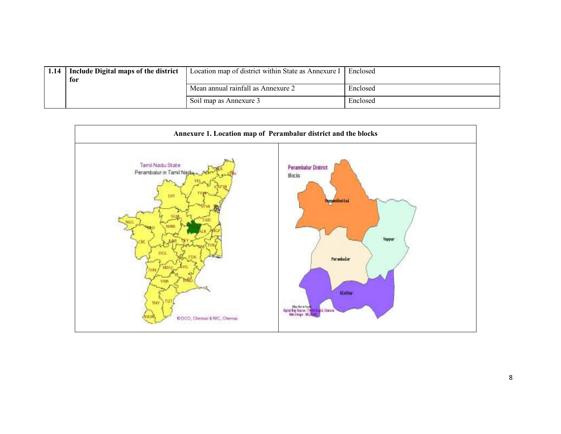| 1.14 | Include Digital maps of the district<br>for | Location map of district within State as Annexure I | Enclosed |
|------|---------------------------------------------|-----------------------------------------------------|----------|
|      |                                             | Mean annual rainfall as Annexure 2                  | Enclosed |
|      |                                             | Soil map as Annexure 3                              | Enclosed |

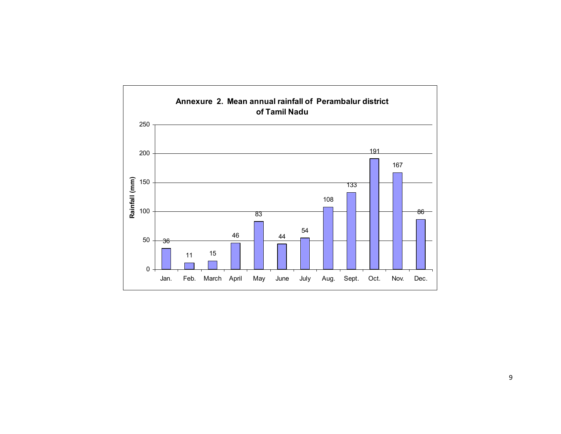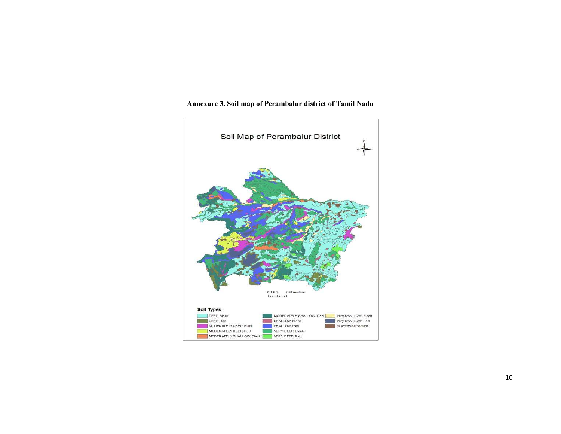

#### Annexure 3. Soil map of Perambalur district of Tamil Nadu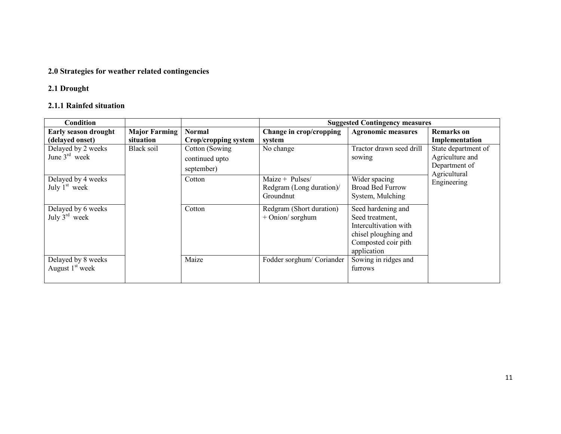## 2.0 Strategies for weather related contingencies

## 2.1 Drought

#### 2.1.1 Rainfed situation

| <b>Condition</b>                                |                      |                                                 | <b>Suggested Contingency measures</b>                    |                                                                                                                              |                                                                         |  |
|-------------------------------------------------|----------------------|-------------------------------------------------|----------------------------------------------------------|------------------------------------------------------------------------------------------------------------------------------|-------------------------------------------------------------------------|--|
| <b>Early season drought</b>                     | <b>Major Farming</b> | <b>Normal</b>                                   | Change in crop/cropping                                  | <b>Agronomic measures</b>                                                                                                    | <b>Remarks</b> on                                                       |  |
| (delayed onset)                                 | situation            | Crop/cropping system                            | system                                                   |                                                                                                                              | Implementation                                                          |  |
| Delayed by 2 weeks<br>June $3rd$ week           | Black soil           | Cotton (Sowing)<br>continued upto<br>september) | No change                                                | Tractor drawn seed drill<br>sowing                                                                                           | State department of<br>Agriculture and<br>Department of<br>Agricultural |  |
| Delayed by 4 weeks<br>July $1st$ week           |                      | Cotton                                          | Maize + Pulses/<br>Redgram (Long duration)/<br>Groundnut | Wider spacing<br><b>Broad Bed Furrow</b><br>System, Mulching                                                                 | Engineering                                                             |  |
| Delayed by 6 weeks<br>July $3^{\text{rd}}$ week |                      | Cotton                                          | Redgram (Short duration)<br>$+$ Onion/sorghum            | Seed hardening and<br>Seed treatment,<br>Intercultivation with<br>chisel ploughing and<br>Composted coir pith<br>application |                                                                         |  |
| Delayed by 8 weeks<br>August $1st$ week         |                      | Maize                                           | Fodder sorghum/Coriander                                 | Sowing in ridges and<br>furrows                                                                                              |                                                                         |  |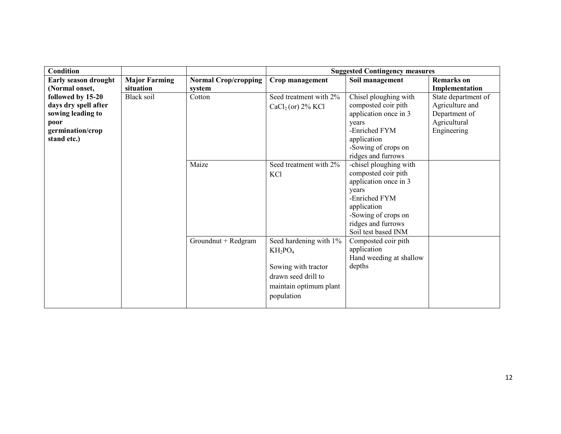| <b>Condition</b>     |                      |                             | <b>Suggested Contingency measures</b> |                         |                     |  |
|----------------------|----------------------|-----------------------------|---------------------------------------|-------------------------|---------------------|--|
| Early season drought | <b>Major Farming</b> | <b>Normal Crop/cropping</b> | Crop management                       | Soil management         | <b>Remarks</b> on   |  |
| (Normal onset,       | situation            | system                      |                                       |                         | Implementation      |  |
| followed by 15-20    | Black soil           | Cotton                      | Seed treatment with 2%                | Chisel ploughing with   | State department of |  |
| days dry spell after |                      |                             | CaCl <sub>2</sub> (or) 2% KCl         | composted coir pith     | Agriculture and     |  |
| sowing leading to    |                      |                             |                                       | application once in 3   | Department of       |  |
| poor                 |                      |                             |                                       | years                   | Agricultural        |  |
| germination/crop     |                      |                             |                                       | -Enriched FYM           | Engineering         |  |
| stand etc.)          |                      |                             |                                       | application             |                     |  |
|                      |                      |                             |                                       | -Sowing of crops on     |                     |  |
|                      |                      |                             |                                       | ridges and furrows      |                     |  |
|                      |                      | Maize                       | Seed treatment with 2%                | -chisel ploughing with  |                     |  |
|                      |                      |                             | KCl                                   | composted coir pith     |                     |  |
|                      |                      |                             |                                       | application once in 3   |                     |  |
|                      |                      |                             |                                       | years                   |                     |  |
|                      |                      |                             |                                       | -Enriched FYM           |                     |  |
|                      |                      |                             |                                       | application             |                     |  |
|                      |                      |                             |                                       | -Sowing of crops on     |                     |  |
|                      |                      |                             |                                       | ridges and furrows      |                     |  |
|                      |                      |                             |                                       | Soil test based INM     |                     |  |
|                      |                      | Groundnut + Redgram         | Seed hardening with 1%                | Composted coir pith     |                     |  |
|                      |                      |                             | $KH_2PO_4$                            | application             |                     |  |
|                      |                      |                             |                                       | Hand weeding at shallow |                     |  |
|                      |                      |                             | Sowing with tractor                   | depths                  |                     |  |
|                      |                      |                             | drawn seed drill to                   |                         |                     |  |
|                      |                      |                             |                                       |                         |                     |  |
|                      |                      |                             | maintain optimum plant                |                         |                     |  |
|                      |                      |                             | population                            |                         |                     |  |
|                      |                      |                             |                                       |                         |                     |  |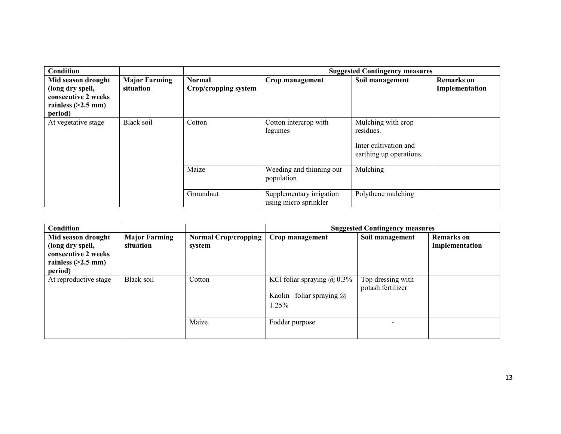| Condition                                                                                        |                                   |                                       | <b>Suggested Contingency measures</b>             |                                                                                     |                                     |  |
|--------------------------------------------------------------------------------------------------|-----------------------------------|---------------------------------------|---------------------------------------------------|-------------------------------------------------------------------------------------|-------------------------------------|--|
| Mid season drought<br>(long dry spell,<br>consecutive 2 weeks<br>rainless $(>2.5$ mm)<br>period) | <b>Major Farming</b><br>situation | <b>Normal</b><br>Crop/cropping system | Crop management                                   | Soil management                                                                     | <b>Remarks</b> on<br>Implementation |  |
| At vegetative stage                                                                              | <b>Black soil</b>                 | Cotton                                | Cotton intercrop with<br>legumes                  | Mulching with crop<br>residues.<br>Inter cultivation and<br>earthing up operations. |                                     |  |
|                                                                                                  |                                   | Maize                                 | Weeding and thinning out<br>population            | Mulching                                                                            |                                     |  |
|                                                                                                  |                                   | Groundnut                             | Supplementary irrigation<br>using micro sprinkler | Polythene mulching                                                                  |                                     |  |

| <b>Suggested Contingency measures</b> |
|---------------------------------------|
| <b>Remarks</b> on                     |
| Implementation                        |
|                                       |
|                                       |
|                                       |
|                                       |
|                                       |
|                                       |
|                                       |
|                                       |
|                                       |
|                                       |
|                                       |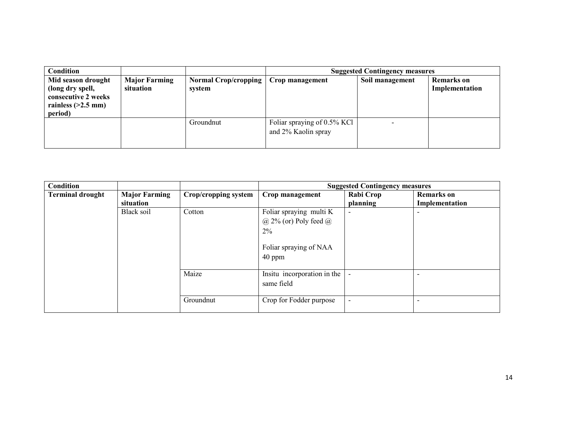| <b>Condition</b>                                                                                 |                                   |                                       | <b>Suggested Contingency measures</b>              |                 |                                     |
|--------------------------------------------------------------------------------------------------|-----------------------------------|---------------------------------------|----------------------------------------------------|-----------------|-------------------------------------|
| Mid season drought<br>(long dry spell,<br>consecutive 2 weeks<br>rainless $(>2.5$ mm)<br>period) | <b>Major Farming</b><br>situation | <b>Normal Crop/cropping</b><br>system | Crop management                                    | Soil management | <b>Remarks</b> on<br>Implementation |
|                                                                                                  |                                   | Groundnut                             | Foliar spraying of 0.5% KCl<br>and 2% Kaolin spray |                 |                                     |

| Condition               |                      |                      |                                           | <b>Suggested Contingency measures</b> |                   |
|-------------------------|----------------------|----------------------|-------------------------------------------|---------------------------------------|-------------------|
| <b>Terminal drought</b> | <b>Major Farming</b> | Crop/cropping system | Crop management                           | Rabi Crop                             | <b>Remarks</b> on |
|                         | situation            |                      |                                           | planning                              | Implementation    |
|                         | <b>Black soil</b>    | Cotton               | Foliar spraying multi K                   | $\overline{\phantom{a}}$              |                   |
|                         |                      |                      | $(a)$ 2% (or) Poly feed $(a)$             |                                       |                   |
|                         |                      |                      | 2%                                        |                                       |                   |
|                         |                      |                      | Foliar spraying of NAA<br>$40$ ppm        |                                       |                   |
|                         |                      | Maize                | Insitu incorporation in the<br>same field |                                       |                   |
|                         |                      | Groundnut            | Crop for Fodder purpose                   | $\overline{a}$                        |                   |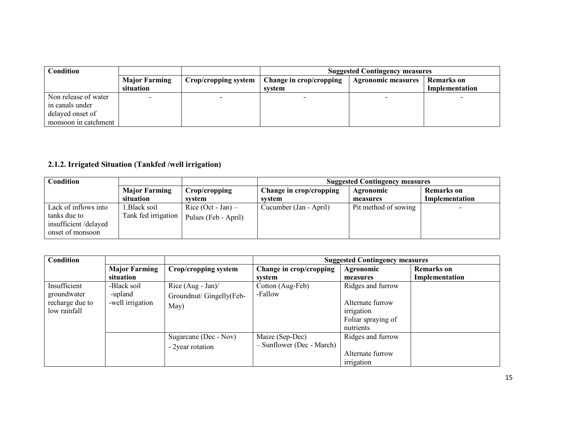| Condition            |                      |                      | <b>Suggested Contingency measures</b> |                           |                |
|----------------------|----------------------|----------------------|---------------------------------------|---------------------------|----------------|
|                      | <b>Major Farming</b> | Crop/cropping system | Change in crop/cropping               | <b>Agronomic measures</b> | Remarks on     |
|                      | situation            |                      | svstem                                |                           | Implementation |
| Non release of water |                      |                      |                                       |                           |                |
| in canals under      |                      |                      |                                       |                           |                |
| delayed onset of     |                      |                      |                                       |                           |                |
| monsoon in catchment |                      |                      |                                       |                           |                |

## 2.1.2. Irrigated Situation (Tankfed /well irrigation)

| Condition            |                      |                      | <b>Suggested Contingency measures</b> |                      |                |  |
|----------------------|----------------------|----------------------|---------------------------------------|----------------------|----------------|--|
|                      | <b>Major Farming</b> | Crop/cropping        | Change in crop/cropping               | Agronomic            | Remarks on     |  |
|                      | situation            | svstem               | svstem                                | measures             | Implementation |  |
| Lack of inflows into | Black soil.          | Rice $(Oct - Jan) -$ | Cucumber (Jan - April)                | Pit method of sowing |                |  |
| tanks due to         | Tank fed irrigation  | Pulses (Feb - April) |                                       |                      |                |  |
| insufficient/delayed |                      |                      |                                       |                      |                |  |
| onset of monsoon     |                      |                      |                                       |                      |                |  |

| <b>Condition</b>                                               |                                            |                                                          |                                              | <b>Suggested Contingency measures</b>                                                  |                                     |
|----------------------------------------------------------------|--------------------------------------------|----------------------------------------------------------|----------------------------------------------|----------------------------------------------------------------------------------------|-------------------------------------|
|                                                                | <b>Major Farming</b><br>situation          | Crop/cropping system                                     | Change in crop/cropping<br>system            | Agronomic<br>measures                                                                  | <b>Remarks</b> on<br>Implementation |
| Insufficient<br>groundwater<br>recharge due to<br>low rainfall | -Black soil<br>-upland<br>-well irrigation | Rice $(Aug - Jan)$ /<br>Groundnut/ Gingelly(Feb-<br>May) | Cotton (Aug-Feb)<br>-Fallow                  | Ridges and furrow<br>Alternate furrow<br>irrigation<br>Foliar spraying of<br>nutrients |                                     |
|                                                                |                                            | Sugarcane (Dec - Nov)<br>- 2year rotation                | Maize (Sep-Dec)<br>- Sunflower (Dec - March) | Ridges and furrow<br>Alternate furrow<br>irrigation                                    |                                     |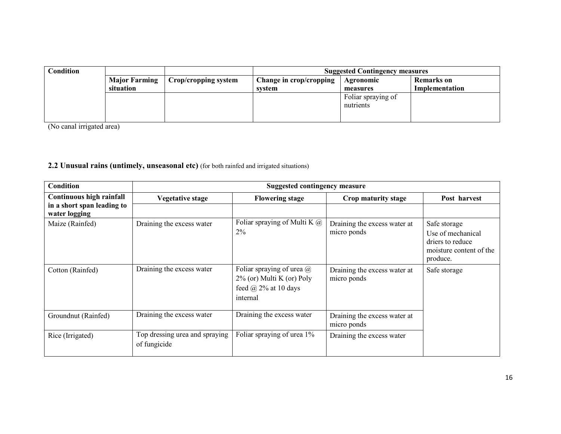| Condition |                      |                      | <b>Suggested Contingency measures</b> |                    |                |  |
|-----------|----------------------|----------------------|---------------------------------------|--------------------|----------------|--|
|           | <b>Major Farming</b> | Crop/cropping system | Change in crop/cropping               | Agronomic          | Remarks on     |  |
|           | situation            |                      | system                                | measures           | Implementation |  |
|           |                      |                      |                                       | Foliar spraying of |                |  |
|           |                      |                      |                                       | nutrients          |                |  |
|           |                      |                      |                                       |                    |                |  |
|           |                      |                      |                                       |                    |                |  |

(No canal irrigated area)

# 2.2 Unusual rains (untimely, unseasonal etc) (for both rainfed and irrigated situations)

| Condition                                   |                                                | <b>Suggested contingency measure</b>                                                                        |                                             |                                                                                              |
|---------------------------------------------|------------------------------------------------|-------------------------------------------------------------------------------------------------------------|---------------------------------------------|----------------------------------------------------------------------------------------------|
| Continuous high rainfall                    | <b>Vegetative stage</b>                        | <b>Flowering stage</b>                                                                                      | Crop maturity stage                         | Post harvest                                                                                 |
| in a short span leading to<br>water logging |                                                |                                                                                                             |                                             |                                                                                              |
| Maize (Rainfed)                             | Draining the excess water                      | Foliar spraying of Multi K $@$<br>2%                                                                        | Draining the excess water at<br>micro ponds | Safe storage<br>Use of mechanical<br>driers to reduce<br>moisture content of the<br>produce. |
| Cotton (Rainfed)                            | Draining the excess water                      | Foliar spraying of urea $\omega$<br>$2\%$ (or) Multi K (or) Poly<br>feed $\omega$ 2% at 10 days<br>internal | Draining the excess water at<br>micro ponds | Safe storage                                                                                 |
| Groundnut (Rainfed)                         | Draining the excess water                      | Draining the excess water                                                                                   | Draining the excess water at<br>micro ponds |                                                                                              |
| Rice (Irrigated)                            | Top dressing urea and spraying<br>of fungicide | Foliar spraying of urea 1%                                                                                  | Draining the excess water                   |                                                                                              |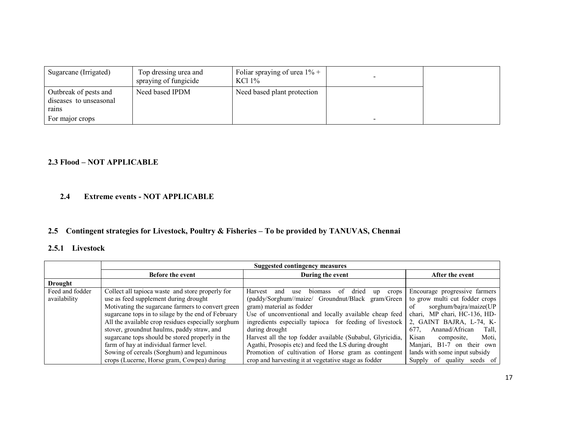| Sugarcane (Irrigated)                                                       | Top dressing urea and<br>spraying of fungicide | Foliar spraying of urea $1\%$ +<br>KCl 1% |  |
|-----------------------------------------------------------------------------|------------------------------------------------|-------------------------------------------|--|
| Outbreak of pests and<br>diseases to unseasonal<br>rains<br>For major crops | Need based IPDM                                | Need based plant protection               |  |

#### 2.3 Flood – NOT APPLICABLE

#### 2.4Extreme events - NOT APPLICABLE

# 2.5 Contingent strategies for Livestock, Poultry & Fisheries – To be provided by TANUVAS, Chennai

# 2.5.1 Livestock

|                 | Suggested contingency measures                     |                                                                                  |                                 |  |
|-----------------|----------------------------------------------------|----------------------------------------------------------------------------------|---------------------------------|--|
|                 | <b>Before the event</b>                            | During the event                                                                 | After the event                 |  |
| <b>Drought</b>  |                                                    |                                                                                  |                                 |  |
| Feed and fodder | Collect all tapioca waste and store properly for   | <b>Harvest</b><br>biomass<br>dried<br>use<br>-of<br>crops 1<br>and<br>up         | Encourage progressive farmers   |  |
| availability    | use as feed supplement during drought              | (paddy/Sorghum//maize/ Groundnut/Black gram/Green to grow multi cut fodder crops |                                 |  |
|                 | Motivating the sugarcane farmers to convert green  | gram) material as fodder                                                         | sorghum/bajra/maize(UP<br>of    |  |
|                 | sugarcane tops in to silage by the end of February | Use of unconventional and locally available cheap feed                           | chari, MP chari, HC-136, HD-    |  |
|                 | All the available crop residues especially sorghum | ingredients especially tapioca for feeding of livestock                          | 2, GAINT BAJRA, L-74, K-        |  |
|                 | stover, groundnut haulms, paddy straw, and         | during drought                                                                   | Ananad/African<br>677.<br>Tall, |  |
|                 | sugarcane tops should be stored properly in the    | Harvest all the top fodder available (Subabul, Glyricidia,                       | Kisan<br>Moti,<br>composite.    |  |
|                 | farm of hay at individual farmer level.            | Agathi, Prosopis etc) and feed the LS during drought                             | Manjari, B1-7 on their own      |  |
|                 | Sowing of cereals (Sorghum) and leguminous         | Promotion of cultivation of Horse gram as contingent                             | lands with some input subsidy   |  |
|                 | crops (Lucerne, Horse gram, Cowpea) during         | crop and harvesting it at vegetative stage as fodder                             | seeds of<br>Supply of quality   |  |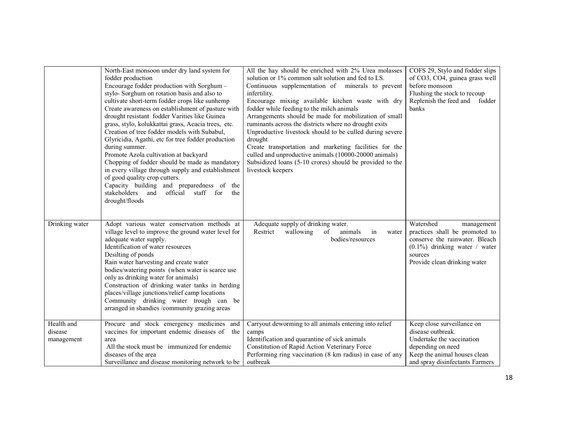|                                     | North-East monsoon under dry land system for<br>fodder production<br>Encourage fodder production with Sorghum -<br>stylo-Sorghum on rotation basis and also to<br>cultivate short-term fodder crops like sunhemp<br>Create awareness on establishment of pasture with<br>drought resistant fodder Varities like Guinea<br>grass, stylo, kolukkattai grass, Acacia trees, etc.<br>Creation of tree fodder models with Subabul,<br>Glyricidia, Agathi, etc for tree fodder production<br>during summer.<br>Promote Azola cultivation at backyard<br>Chopping of fodder should be made as mandatory<br>in every village through supply and establishment<br>of good quality crop cutters.<br>Capacity building and preparedness of the<br>official staff for<br>stakeholders and<br>the<br>drought/floods | All the hay should be enriched with 2% Urea molasses<br>solution or 1% common salt solution and fed to LS.<br>Continuous supplementation of minerals to prevent<br>infertility.<br>Encourage mixing available kitchen waste with dry<br>fodder while feeding to the milch animals<br>Arrangements should be made for mobilization of small<br>ruminants across the districts where no drought exits<br>Unproductive livestock should to be culled during severe<br>drought<br>Create transportation and marketing facilities for the<br>culled and unproductive animals (10000-20000 animals)<br>Subsidized loans (5-10 crores) should be provided to the<br>livestock keepers | COFS 29, Stylo and fodder slips<br>of CO3, CO4, guinea grass well<br>before monsoon<br>Flushing the stock to recoup<br>Replenish the feed and<br>fodder<br>banks           |
|-------------------------------------|--------------------------------------------------------------------------------------------------------------------------------------------------------------------------------------------------------------------------------------------------------------------------------------------------------------------------------------------------------------------------------------------------------------------------------------------------------------------------------------------------------------------------------------------------------------------------------------------------------------------------------------------------------------------------------------------------------------------------------------------------------------------------------------------------------|--------------------------------------------------------------------------------------------------------------------------------------------------------------------------------------------------------------------------------------------------------------------------------------------------------------------------------------------------------------------------------------------------------------------------------------------------------------------------------------------------------------------------------------------------------------------------------------------------------------------------------------------------------------------------------|----------------------------------------------------------------------------------------------------------------------------------------------------------------------------|
| Drinking water                      | Adopt various water conservation methods at<br>village level to improve the ground water level for<br>adequate water supply.<br>Identification of water resources<br>Desilting of ponds<br>Rain water harvesting and create water<br>bodies/watering points (when water is scarce use<br>only as drinking water for animals)<br>Construction of drinking water tanks in herding<br>places/village junctions/relief camp locations<br>Community drinking water trough can be<br>arranged in shandies /community grazing areas                                                                                                                                                                                                                                                                           | Adequate supply of drinking water.<br>Restrict<br>wallowing<br>of<br>animals<br>in<br>water<br>bodies/resources                                                                                                                                                                                                                                                                                                                                                                                                                                                                                                                                                                | Watershed<br>management<br>practices shall be promoted to<br>conserve the rainwater. Bleach<br>$(0.1\%)$ drinking water / water<br>sources<br>Provide clean drinking water |
| Health and<br>disease<br>management | Procure and stock emergency medicines and<br>vaccines for important endemic diseases of the<br>area<br>All the stock must be immunized for endemic<br>diseases of the area<br>Surveillance and disease monitoring network to be                                                                                                                                                                                                                                                                                                                                                                                                                                                                                                                                                                        | Carryout deworming to all animals entering into relief<br>camps<br>Identification and quarantine of sick animals<br>Constitution of Rapid Action Veterinary Force<br>Performing ring vaccination (8 km radius) in case of any<br>outbreak                                                                                                                                                                                                                                                                                                                                                                                                                                      | Keep close surveillance on<br>disease outbreak.<br>Undertake the vaccination<br>depending on need<br>Keep the animal houses clean<br>and spray disinfectants Farmers       |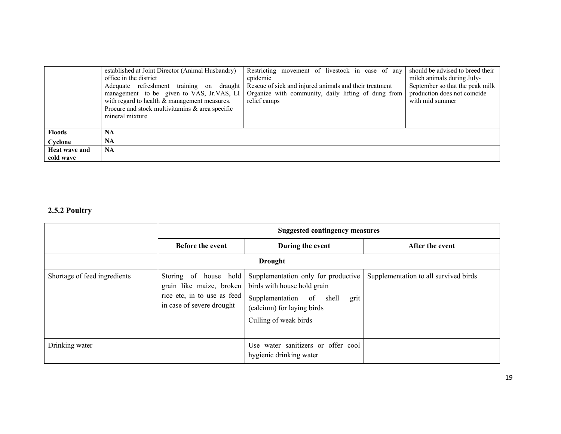|                            | established at Joint Director (Animal Husbandry)<br>office in the district<br>Adequate refreshment training on<br>draught  <br>management to be given to VAS, Jr.VAS, LI<br>with regard to health & management measures.<br>Procure and stock multivitamins & area specific<br>mineral mixture | Restricting movement of livestock in case of any<br>epidemic<br>Rescue of sick and injured animals and their treatment<br>Organize with community, daily lifting of dung from<br>relief camps | should be advised to breed their<br>milch animals during July-<br>September so that the peak milk<br>production does not coincide<br>with mid summer |
|----------------------------|------------------------------------------------------------------------------------------------------------------------------------------------------------------------------------------------------------------------------------------------------------------------------------------------|-----------------------------------------------------------------------------------------------------------------------------------------------------------------------------------------------|------------------------------------------------------------------------------------------------------------------------------------------------------|
| <b>Floods</b>              | <b>NA</b>                                                                                                                                                                                                                                                                                      |                                                                                                                                                                                               |                                                                                                                                                      |
| Cyclone                    | <b>NA</b>                                                                                                                                                                                                                                                                                      |                                                                                                                                                                                               |                                                                                                                                                      |
| Heat wave and<br>cold wave | <b>NA</b>                                                                                                                                                                                                                                                                                      |                                                                                                                                                                                               |                                                                                                                                                      |

# 2.5.2 Poultry

|                              | <b>Suggested contingency measures</b>                                                                         |                                                                                                                                                               |                                       |  |  |  |
|------------------------------|---------------------------------------------------------------------------------------------------------------|---------------------------------------------------------------------------------------------------------------------------------------------------------------|---------------------------------------|--|--|--|
|                              | <b>Before the event</b>                                                                                       | During the event                                                                                                                                              | After the event                       |  |  |  |
|                              | <b>Drought</b>                                                                                                |                                                                                                                                                               |                                       |  |  |  |
| Shortage of feed ingredients | Storing of house hold<br>grain like maize, broken<br>rice etc, in to use as feed<br>in case of severe drought | Supplementation only for productive<br>birds with house hold grain<br>Supplementation of shell<br>grit<br>(calcium) for laying birds<br>Culling of weak birds | Supplementation to all survived birds |  |  |  |
| Drinking water               |                                                                                                               | Use water sanitizers or offer cool<br>hygienic drinking water                                                                                                 |                                       |  |  |  |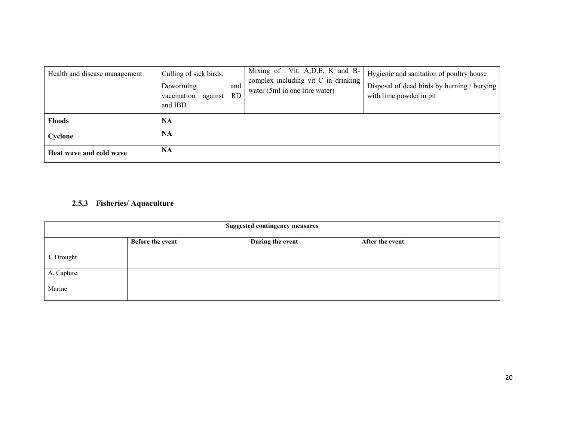| Health and disease management | Culling of sick birds.<br>Deworming<br>and<br>vaccination<br>RD.<br>against<br>and IBD | Mixing of Vit. A, D, E, K and B-<br>complex including vit C in drinking<br>water (5ml in one litre water) | Hygienic and sanitation of poultry house<br>Disposal of dead birds by burning / burying<br>with lime powder in pit |
|-------------------------------|----------------------------------------------------------------------------------------|-----------------------------------------------------------------------------------------------------------|--------------------------------------------------------------------------------------------------------------------|
| <b>Floods</b>                 | <b>NA</b>                                                                              |                                                                                                           |                                                                                                                    |
| Cyclone                       | NA                                                                                     |                                                                                                           |                                                                                                                    |
| Heat wave and cold wave       | NA                                                                                     |                                                                                                           |                                                                                                                    |

# 2.5.3 Fisheries/ Aquaculture

| <b>Suggested contingency measures</b> |                         |                  |                 |
|---------------------------------------|-------------------------|------------------|-----------------|
|                                       | <b>Before the event</b> | During the event | After the event |
| 1. Drought                            |                         |                  |                 |
| A. Capture                            |                         |                  |                 |
| Marine                                |                         |                  |                 |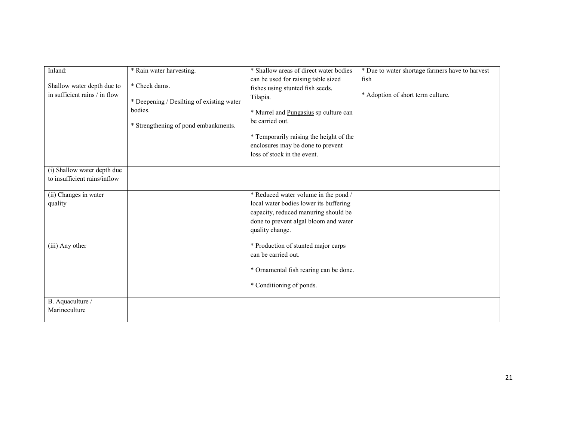| Inland:                       | * Rain water harvesting.                  | * Shallow areas of direct water bodies  | * Due to water shortage farmers have to harvest |
|-------------------------------|-------------------------------------------|-----------------------------------------|-------------------------------------------------|
|                               |                                           | can be used for raising table sized     | fish                                            |
| Shallow water depth due to    | * Check dams.                             | fishes using stunted fish seeds,        |                                                 |
| in sufficient rains / in flow |                                           | Tilapia.                                | * Adoption of short term culture.               |
|                               | * Deepening / Desilting of existing water |                                         |                                                 |
|                               | bodies.                                   | * Murrel and Pungasius sp culture can   |                                                 |
|                               |                                           | be carried out.                         |                                                 |
|                               | * Strengthening of pond embankments.      |                                         |                                                 |
|                               |                                           | * Temporarily raising the height of the |                                                 |
|                               |                                           | enclosures may be done to prevent       |                                                 |
|                               |                                           | loss of stock in the event.             |                                                 |
|                               |                                           |                                         |                                                 |
| (i) Shallow water depth due   |                                           |                                         |                                                 |
| to insufficient rains/inflow  |                                           |                                         |                                                 |
|                               |                                           |                                         |                                                 |
| (ii) Changes in water         |                                           | * Reduced water volume in the pond /    |                                                 |
| quality                       |                                           | local water bodies lower its buffering  |                                                 |
|                               |                                           | capacity, reduced manuring should be    |                                                 |
|                               |                                           |                                         |                                                 |
|                               |                                           | done to prevent algal bloom and water   |                                                 |
|                               |                                           | quality change.                         |                                                 |
| (iii) Any other               |                                           | * Production of stunted major carps     |                                                 |
|                               |                                           | can be carried out.                     |                                                 |
|                               |                                           |                                         |                                                 |
|                               |                                           | * Ornamental fish rearing can be done.  |                                                 |
|                               |                                           |                                         |                                                 |
|                               |                                           | * Conditioning of ponds.                |                                                 |
|                               |                                           |                                         |                                                 |
| B. Aquaculture /              |                                           |                                         |                                                 |
| Marineculture                 |                                           |                                         |                                                 |
|                               |                                           |                                         |                                                 |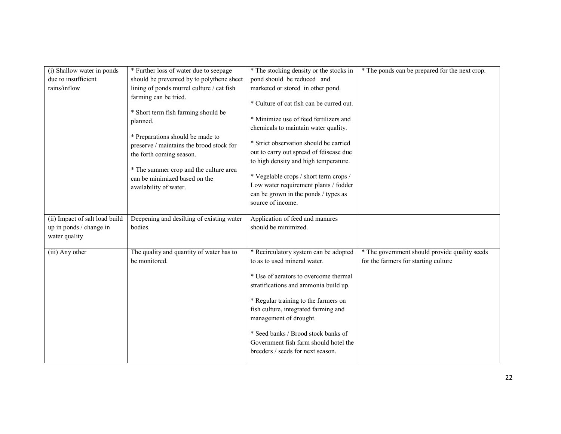| (i) Shallow water in ponds     | * Further loss of water due to seepage    | * The stocking density or the stocks in  | * The ponds can be prepared for the next crop. |
|--------------------------------|-------------------------------------------|------------------------------------------|------------------------------------------------|
| due to insufficient            | should be prevented by to polythene sheet | pond should be reduced and               |                                                |
| rains/inflow                   | lining of ponds murrel culture / cat fish | marketed or stored in other pond.        |                                                |
|                                | farming can be tried.                     |                                          |                                                |
|                                |                                           | * Culture of cat fish can be curred out. |                                                |
|                                | * Short term fish farming should be       |                                          |                                                |
|                                | planned.                                  | * Minimize use of feed fertilizers and   |                                                |
|                                |                                           | chemicals to maintain water quality.     |                                                |
|                                | * Preparations should be made to          |                                          |                                                |
|                                | preserve / maintains the brood stock for  | * Strict observation should be carried   |                                                |
|                                | the forth coming season.                  | out to carry out spread of fdisease due  |                                                |
|                                |                                           | to high density and high temperature.    |                                                |
|                                | * The summer crop and the culture area    |                                          |                                                |
|                                | can be minimized based on the             | * Vegelable crops / short term crops /   |                                                |
|                                | availability of water.                    | Low water requirement plants / fodder    |                                                |
|                                |                                           | can be grown in the ponds / types as     |                                                |
|                                |                                           | source of income.                        |                                                |
|                                |                                           |                                          |                                                |
|                                |                                           |                                          |                                                |
| (ii) Impact of salt load build | Deepening and desilting of existing water | Application of feed and manures          |                                                |
|                                | bodies.                                   | should be minimized.                     |                                                |
| up in ponds / change in        |                                           |                                          |                                                |
| water quality                  |                                           |                                          |                                                |
| (iii) Any other                | The quality and quantity of water has to  | * Recirculatory system can be adopted    | * The government should provide quality seeds  |
|                                | be monitored.                             | to as to used mineral water.             |                                                |
|                                |                                           |                                          | for the farmers for starting culture           |
|                                |                                           | * Use of aerators to overcome thermal    |                                                |
|                                |                                           |                                          |                                                |
|                                |                                           | stratifications and ammonia build up.    |                                                |
|                                |                                           | * Regular training to the farmers on     |                                                |
|                                |                                           | fish culture, integrated farming and     |                                                |
|                                |                                           |                                          |                                                |
|                                |                                           | management of drought.                   |                                                |
|                                |                                           | * Seed banks / Brood stock banks of      |                                                |
|                                |                                           | Government fish farm should hotel the    |                                                |
|                                |                                           | breeders / seeds for next season.        |                                                |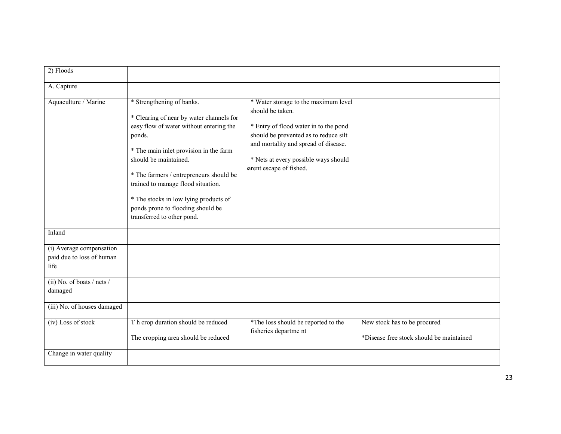| 2) Floods                                                     |                                                                                                                                                                                                                                                                                                                                                                                            |                                                                                                                                                                                                                                                       |                                                                          |
|---------------------------------------------------------------|--------------------------------------------------------------------------------------------------------------------------------------------------------------------------------------------------------------------------------------------------------------------------------------------------------------------------------------------------------------------------------------------|-------------------------------------------------------------------------------------------------------------------------------------------------------------------------------------------------------------------------------------------------------|--------------------------------------------------------------------------|
| A. Capture                                                    |                                                                                                                                                                                                                                                                                                                                                                                            |                                                                                                                                                                                                                                                       |                                                                          |
| Aquaculture / Marine                                          | * Strengthening of banks.<br>* Clearing of near by water channels for<br>easy flow of water without entering the<br>ponds.<br>* The main inlet provision in the farm<br>should be maintained.<br>* The farmers / entrepreneurs should be<br>trained to manage flood situation.<br>* The stocks in low lying products of<br>ponds prone to flooding should be<br>transferred to other pond. | * Water storage to the maximum level<br>should be taken.<br>* Entry of flood water in to the pond<br>should be prevented as to reduce silt<br>and mortality and spread of disease.<br>* Nets at every possible ways should<br>arent escape of fished. |                                                                          |
| Inland                                                        |                                                                                                                                                                                                                                                                                                                                                                                            |                                                                                                                                                                                                                                                       |                                                                          |
| (i) Average compensation<br>paid due to loss of human<br>life |                                                                                                                                                                                                                                                                                                                                                                                            |                                                                                                                                                                                                                                                       |                                                                          |
| (ii) No. of boats $/$ nets $/$<br>damaged                     |                                                                                                                                                                                                                                                                                                                                                                                            |                                                                                                                                                                                                                                                       |                                                                          |
| (iii) No. of houses damaged                                   |                                                                                                                                                                                                                                                                                                                                                                                            |                                                                                                                                                                                                                                                       |                                                                          |
| (iv) Loss of stock                                            | T h crop duration should be reduced<br>The cropping area should be reduced                                                                                                                                                                                                                                                                                                                 | *The loss should be reported to the<br>fisheries departme nt                                                                                                                                                                                          | New stock has to be procured<br>*Disease free stock should be maintained |
| Change in water quality                                       |                                                                                                                                                                                                                                                                                                                                                                                            |                                                                                                                                                                                                                                                       |                                                                          |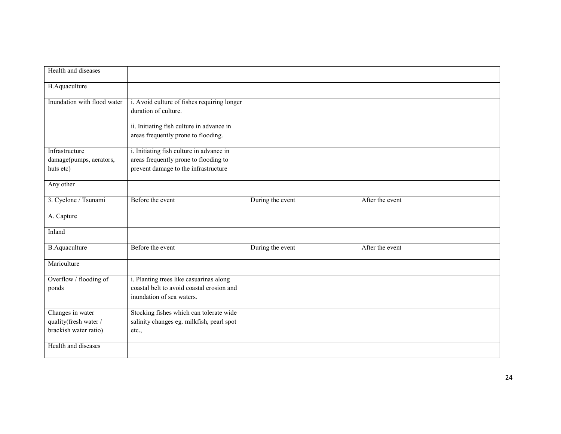| Health and diseases                                                |                                                                                                                   |                  |                 |
|--------------------------------------------------------------------|-------------------------------------------------------------------------------------------------------------------|------------------|-----------------|
| <b>B.Aquaculture</b>                                               |                                                                                                                   |                  |                 |
| Inundation with flood water                                        | i. Avoid culture of fishes requiring longer<br>duration of culture.                                               |                  |                 |
|                                                                    | ii. Initiating fish culture in advance in<br>areas frequently prone to flooding.                                  |                  |                 |
| Infrastructure                                                     | i. Initiating fish culture in advance in                                                                          |                  |                 |
| damage(pumps, aerators,<br>huts etc)                               | areas frequently prone to flooding to<br>prevent damage to the infrastructure                                     |                  |                 |
| Any other                                                          |                                                                                                                   |                  |                 |
| 3. Cyclone / Tsunami                                               | Before the event                                                                                                  | During the event | After the event |
| A. Capture                                                         |                                                                                                                   |                  |                 |
| Inland                                                             |                                                                                                                   |                  |                 |
| <b>B.Aquaculture</b>                                               | Before the event                                                                                                  | During the event | After the event |
| Mariculture                                                        |                                                                                                                   |                  |                 |
| Overflow / flooding of<br>ponds                                    | i. Planting trees like casuarinas along<br>coastal belt to avoid coastal erosion and<br>inundation of sea waters. |                  |                 |
| Changes in water<br>quality(fresh water /<br>brackish water ratio) | Stocking fishes which can tolerate wide<br>salinity changes eg. milkfish, pearl spot<br>etc.,                     |                  |                 |
| Health and diseases                                                |                                                                                                                   |                  |                 |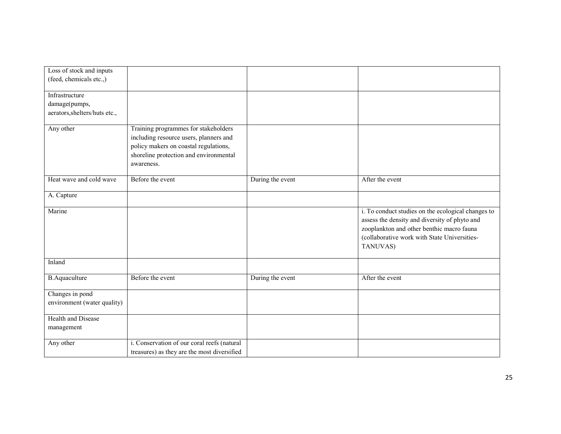| Loss of stock and inputs      |                                             |                  |                                                    |
|-------------------------------|---------------------------------------------|------------------|----------------------------------------------------|
| (feed, chemicals etc.,)       |                                             |                  |                                                    |
| Infrastructure                |                                             |                  |                                                    |
| damage(pumps,                 |                                             |                  |                                                    |
| aerators, shelters/huts etc., |                                             |                  |                                                    |
|                               |                                             |                  |                                                    |
| Any other                     | Training programmes for stakeholders        |                  |                                                    |
|                               | including resource users, planners and      |                  |                                                    |
|                               | policy makers on coastal regulations,       |                  |                                                    |
|                               | shoreline protection and environmental      |                  |                                                    |
|                               | awareness.                                  |                  |                                                    |
| Heat wave and cold wave       | Before the event                            | During the event | After the event                                    |
|                               |                                             |                  |                                                    |
| A. Capture                    |                                             |                  |                                                    |
| Marine                        |                                             |                  | i. To conduct studies on the ecological changes to |
|                               |                                             |                  | assess the density and diversity of phyto and      |
|                               |                                             |                  | zooplankton and other benthic macro fauna          |
|                               |                                             |                  | (collaborative work with State Universities-       |
|                               |                                             |                  | TANUVAS)                                           |
|                               |                                             |                  |                                                    |
| Inland                        |                                             |                  |                                                    |
| <b>B.Aquaculture</b>          | Before the event                            | During the event | After the event                                    |
|                               |                                             |                  |                                                    |
| Changes in pond               |                                             |                  |                                                    |
| environment (water quality)   |                                             |                  |                                                    |
| <b>Health and Disease</b>     |                                             |                  |                                                    |
| management                    |                                             |                  |                                                    |
| Any other                     | i. Conservation of our coral reefs (natural |                  |                                                    |
|                               | treasures) as they are the most diversified |                  |                                                    |